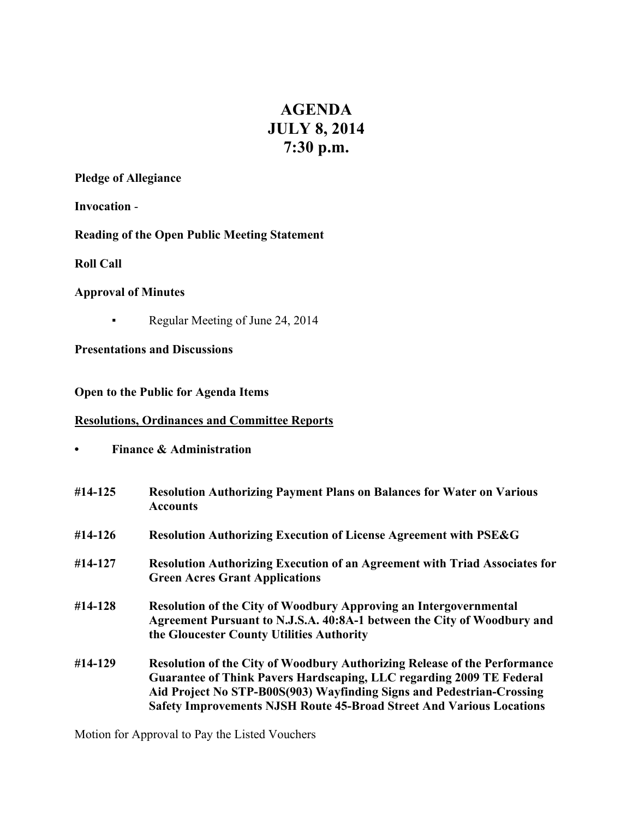# **AGENDA JULY 8, 2014 7:30 p.m.**

**Pledge of Allegiance**

**Invocation** -

**Reading of the Open Public Meeting Statement**

**Roll Call**

## **Approval of Minutes**

▪ Regular Meeting of June 24, 2014

**Presentations and Discussions**

## **Open to the Public for Agenda Items**

# **Resolutions, Ordinances and Committee Reports**

**• Finance & Administration**

| $#14 - 125$ | <b>Resolution Authorizing Payment Plans on Balances for Water on Various</b><br><b>Accounts</b>                                                                                                                                                                                                                         |
|-------------|-------------------------------------------------------------------------------------------------------------------------------------------------------------------------------------------------------------------------------------------------------------------------------------------------------------------------|
| $#14-126$   | <b>Resolution Authorizing Execution of License Agreement with PSE&amp;G</b>                                                                                                                                                                                                                                             |
| #14-127     | <b>Resolution Authorizing Execution of an Agreement with Triad Associates for</b><br><b>Green Acres Grant Applications</b>                                                                                                                                                                                              |
| #14-128     | <b>Resolution of the City of Woodbury Approving an Intergovernmental</b><br>Agreement Pursuant to N.J.S.A. 40:8A-1 between the City of Woodbury and<br>the Gloucester County Utilities Authority                                                                                                                        |
| #14-129     | <b>Resolution of the City of Woodbury Authorizing Release of the Performance</b><br><b>Guarantee of Think Pavers Hardscaping, LLC regarding 2009 TE Federal</b><br>Aid Project No STP-B00S(903) Wayfinding Signs and Pedestrian-Crossing<br><b>Safety Improvements NJSH Route 45-Broad Street And Various Locations</b> |

Motion for Approval to Pay the Listed Vouchers